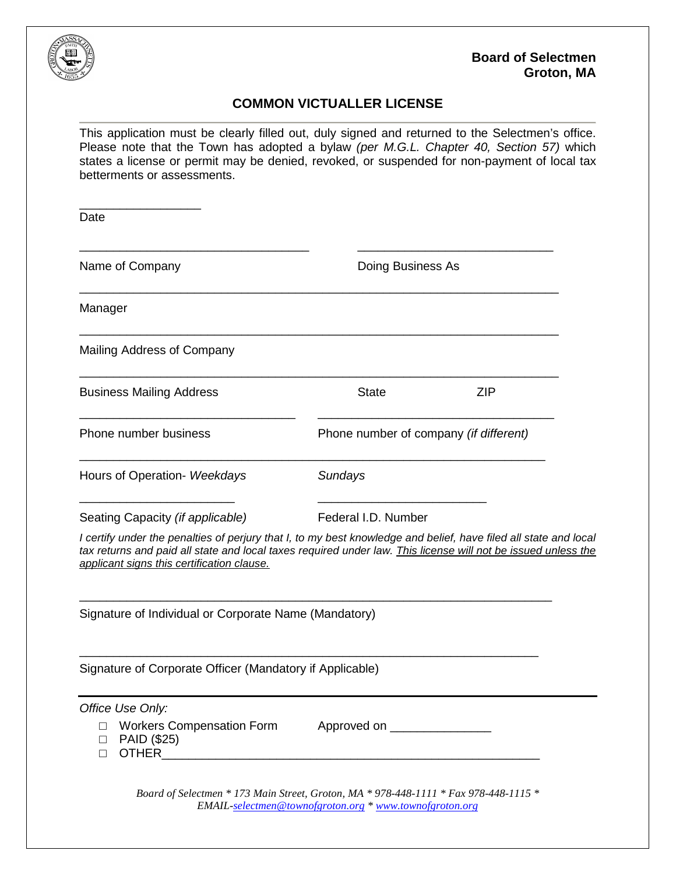

## **COMMON VICTUALLER LICENSE**

This application must be clearly filled out, duly signed and returned to the Selectmen's office. Please note that the Town has adopted a bylaw *(per M.G.L. Chapter 40, Section 57)* which states a license or permit may be denied, revoked, or suspended for non-payment of local tax betterments or assessments.

| Date                                                                                                                                                                                                                                                                            |                                                         |                                        |  |
|---------------------------------------------------------------------------------------------------------------------------------------------------------------------------------------------------------------------------------------------------------------------------------|---------------------------------------------------------|----------------------------------------|--|
| Name of Company                                                                                                                                                                                                                                                                 |                                                         | Doing Business As                      |  |
| Manager                                                                                                                                                                                                                                                                         |                                                         |                                        |  |
| Mailing Address of Company                                                                                                                                                                                                                                                      |                                                         |                                        |  |
| <b>Business Mailing Address</b>                                                                                                                                                                                                                                                 | <b>State</b>                                            | <b>ZIP</b>                             |  |
| Phone number business                                                                                                                                                                                                                                                           |                                                         | Phone number of company (if different) |  |
| Hours of Operation- Weekdays                                                                                                                                                                                                                                                    | Sundays                                                 |                                        |  |
| Seating Capacity (if applicable)                                                                                                                                                                                                                                                | Federal I.D. Number                                     |                                        |  |
| I certify under the penalties of perjury that I, to my best knowledge and belief, have filed all state and local<br>tax returns and paid all state and local taxes required under law. This license will not be issued unless the<br>applicant signs this certification clause. |                                                         |                                        |  |
| Signature of Individual or Corporate Name (Mandatory)                                                                                                                                                                                                                           |                                                         |                                        |  |
| Signature of Corporate Officer (Mandatory if Applicable)                                                                                                                                                                                                                        |                                                         |                                        |  |
| Office Use Only:<br><b>Workers Compensation Form</b><br>П.<br>PAID (\$25)<br>$\Box$<br>OTHER <b>OTHER</b><br>$\Box$                                                                                                                                                             | Approved on __________________                          |                                        |  |
| Board of Selectmen * 173 Main Street, Groton, MA * 978-448-1111 * Fax 978-448-1115 *                                                                                                                                                                                            | EMAIL-selectmen@townofgroton.org * www.townofgroton.org |                                        |  |